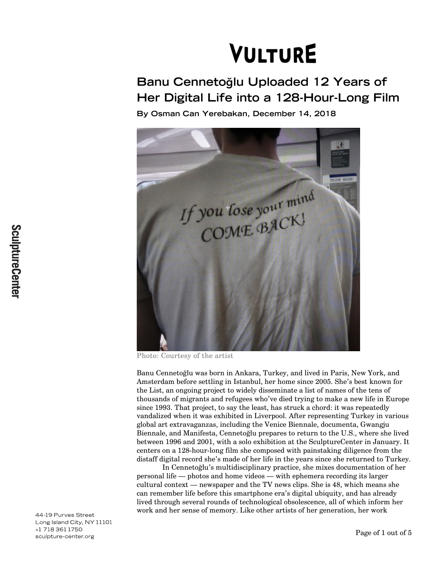# **VULTURE**

# **Banu Cennetoğlu Uploaded 12 Years of Her Digital Life into a 128-Hour-Long Film**

**By Osman Can Yerebakan, December 14, 2018**



Photo: Courtesy of the artist

Banu Cennetoğlu was born in Ankara, Turkey, and lived in Paris, New York, and Amsterdam before settling in Istanbul, her home since 2005. She's best known for the List, an ongoing project to widely disseminate a list of names of the tens of thousands of migrants and refugees who've died trying to make a new life in Europe since 1993. That project, to say the least, has struck a chord: it was repeatedly vandalized when it was exhibited in Liverpool. After representing Turkey in various global art extravaganzas, including the Venice Biennale, documenta, Gwangju Biennale, and Manifesta, Cennetoğlu prepares to return to the U.S., where she lived between 1996 and 2001, with a solo exhibition at the SculptureCenter in January. It centers on a 128-hour-long film she composed with painstaking diligence from the distaff digital record she's made of her life in the years since she returned to Turkey.

In Cennetoğlu's multidisciplinary practice, she mixes documentation of her personal life — photos and home videos — with ephemera recording its larger cultural context — newspaper and the TV news clips. She is 48, which means she can remember life before this smartphone era's digital ubiquity, and has already lived through several rounds of technological obsolescence, all of which inform her work and her sense of memory. Like other artists of her generation, her work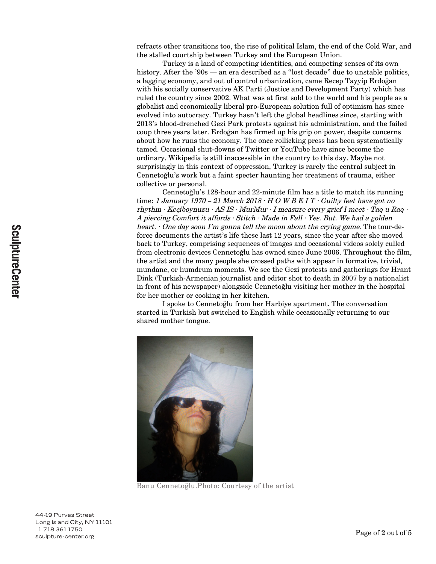refracts other transitions too, the rise of political Islam, the end of the Cold War, and the stalled courtship between Turkey and the European Union.

Turkey is a land of competing identities, and competing senses of its own history. After the '90s — an era described as a "lost decade" due to unstable politics, a lagging economy, and out of control urbanization, came Recep Tayyip Erdoğan with his socially conservative AK Parti (Justice and Development Party) which has ruled the country since 2002. What was at first sold to the world and his people as a globalist and economically liberal pro-European solution full of optimism has since evolved into autocracy. Turkey hasn't left the global headlines since, starting with 2013's blood-drenched Gezi Park protests against his administration, and the failed coup three years later. Erdoğan has firmed up his grip on power, despite concerns about how he runs the economy. The once rollicking press has been systematically tamed. Occasional shut-downs of Twitter or YouTube have since become the ordinary. Wikipedia is still inaccessible in the country to this day. Maybe not surprisingly in this context of oppression, Turkey is rarely the central subject in Cennetoğlu's work but a faint specter haunting her treatment of trauma, either collective or personal.

Cennetoğlu's 128-hour and 22-minute film has a title to match its running time: 1 January 1970 – 21 March 2018  $\cdot$  H O W B E I T  $\cdot$  Guilty feet have got no rhythm · Keçiboynuzu · AS IS · MurMur · I measure every grief I meet · Taq u Raq · A piercing Comfort it affords  $\cdot$  Stitch  $\cdot$  Made in Fall  $\cdot$  Yes. But. We had a golden heart.  $\cdot$  One day soon I'm gonna tell the moon about the crying game. The tour-deforce documents the artist's life these last 12 years, since the year after she moved back to Turkey, comprising sequences of images and occasional videos solely culled from electronic devices Cennetoğlu has owned since June 2006. Throughout the film, the artist and the many people she crossed paths with appear in formative, trivial, mundane, or humdrum moments. We see the Gezi protests and gatherings for Hrant Dink (Turkish-Armenian journalist and editor shot to death in 2007 by a nationalist in front of his newspaper) alongside Cennetoğlu visiting her mother in the hospital for her mother or cooking in her kitchen.

I spoke to Cennetoğlu from her Harbiye apartment. The conversation started in Turkish but switched to English while occasionally returning to our shared mother tongue.



Banu Cennetoğlu.Photo: Courtesy of the artist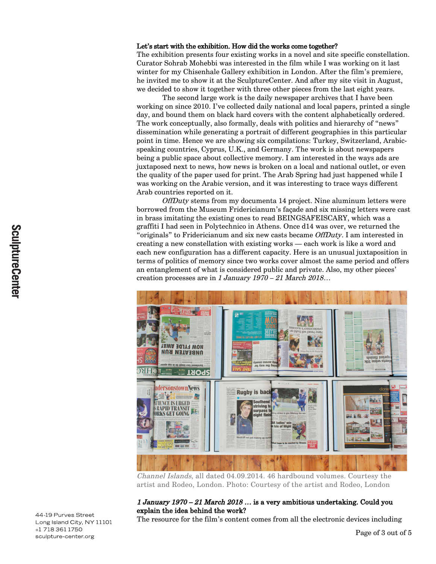#### Let's start with the exhibition. How did the works come together?

The exhibition presents four existing works in a novel and site specific constellation. Curator Sohrab Mohebbi was interested in the film while I was working on it last winter for my Chisenhale Gallery exhibition in London. After the film's premiere, he invited me to show it at the SculptureCenter. And after my site visit in August, we decided to show it together with three other pieces from the last eight years.

The second large work is the daily newspaper archives that I have been working on since 2010. I've collected daily national and local papers, printed a single day, and bound them on black hard covers with the content alphabetically ordered. The work conceptually, also formally, deals with politics and hierarchy of "news" dissemination while generating a portrait of different geographies in this particular point in time. Hence we are showing six compilations: Turkey, Switzerland, Arabicspeaking countries, Cyprus, U.K., and Germany. The work is about newspapers being a public space about collective memory. I am interested in the ways ads are juxtaposed next to news, how news is broken on a local and national outlet, or even the quality of the paper used for print. The Arab Spring had just happened while I was working on the Arabic version, and it was interesting to trace ways different Arab countries reported on it.

OffDuty stems from my documenta 14 project. Nine aluminum letters were borrowed from the Museum Fridericianum's façade and six missing letters were cast in brass imitating the existing ones to read BEINGSAFEISCARY, which was a graffiti I had seen in Polytechnico in Athens. Once d14 was over, we returned the "originals" to Fridericianum and six new casts became OffDuty. I am interested in creating a new constellation with existing works — each work is like a word and each new configuration has a different capacity. Here is an unusual juxtaposition in terms of politics of memory since two works cover almost the same period and offers an entanglement of what is considered public and private. Also, my other pieces' creation processes are in 1 January 1970 – 21 March 2018...



Channel Islands, all dated 04.09.2014. 46 hardbound volumes. Courtesy the artist and Rodeo, London. Photo: Courtesy of the artist and Rodeo, London

#### 1 January 1970 – 21 March 2018 … is a very ambitious undertaking. Could you explain the idea behind the work?

The resource for the film's content comes from all the electronic devices including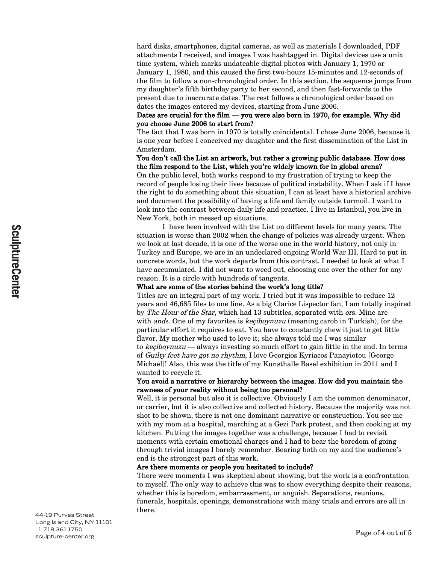hard disks, smartphones, digital cameras, as well as materials I downloaded, PDF attachments I received, and images I was hashtagged in. Digital devices use a unix time system, which marks undateable digital photos with January 1, 1970 or January 1, 1980, and this caused the first two-hours 15-minutes and 12-seconds of the film to follow a non-chronological order. In this section, the sequence jumps from my daughter's fifth birthday party to her second, and then fast-forwards to the present due to inaccurate dates. The rest follows a chronological order based on dates the images entered my devices, starting from June 2006.

#### Dates are crucial for the film — you were also born in 1970, for example. Why did you choose June 2006 to start from?

The fact that I was born in 1970 is totally coincidental. I chose June 2006, because it is one year before I conceived my daughter and the first dissemination of the List in Amsterdam.

# You don't call the List an artwork, but rather a growing public database. How does the film respond to the List, which you're widely known for in global arena?

On the public level, both works respond to my frustration of trying to keep the record of people losing their lives because of political instability. When I ask if I have the right to do something about this situation, I can at least have a historical archive and document the possibility of having a life and family outside turmoil. I want to look into the contrast between daily life and practice. I live in Istanbul, you live in New York, both in messed up situations.

I have been involved with the List on different levels for many years. The situation is worse than 2002 when the change of policies was already urgent. When we look at last decade, it is one of the worse one in the world history, not only in Turkey and Europe, we are in an undeclared ongoing World War III. Hard to put in concrete words, but the work departs from this contrast. I needed to look at what I have accumulated. I did not want to weed out, choosing one over the other for any reason. It is a circle with hundreds of tangents.

#### What are some of the stories behind the work's long title?

Titles are an integral part of my work. I tried but it was impossible to reduce 12 years and 46,685 files to one line. As a big Clarice Lispector fan, I am totally inspired by The Hour of the Star, which had 13 subtitles, separated with ors. Mine are with *ands*. One of my favorites is *keçiboynuzu* (meaning carob in Turkish), for the particular effort it requires to eat. You have to constantly chew it just to get little flavor. My mother who used to love it; she always told me I was similar to keciboynuzu — always investing so much effort to gain little in the end. In terms of Guilty feet have got no rhythm, I love Georgios Kyriacos Panayiotou [George Michael]! Also, this was the title of my Kunsthalle Basel exhibition in 2011 and I wanted to recycle it.

# You avoid a narrative or hierarchy between the images. How did you maintain the rawness of your reality without being too personal?

Well, it is personal but also it is collective. Obviously I am the common denominator, or carrier, but it is also collective and collected history. Because the majority was not shot to be shown, there is not one dominant narrative or construction. You see me with my mom at a hospital, marching at a Gezi Park protest, and then cooking at my kitchen. Putting the images together was a challenge, because I had to revisit moments with certain emotional charges and I had to bear the boredom of going through trivial images I barely remember. Bearing both on my and the audience's end is the strongest part of this work.

#### Are there moments or people you hesitated to include?

There were moments I was skeptical about showing, but the work is a confrontation to myself. The only way to achieve this was to show everything despite their reasons, whether this is boredom, embarrassment, or anguish. Separations, reunions, funerals, hospitals, openings, demonstrations with many trials and errors are all in there.